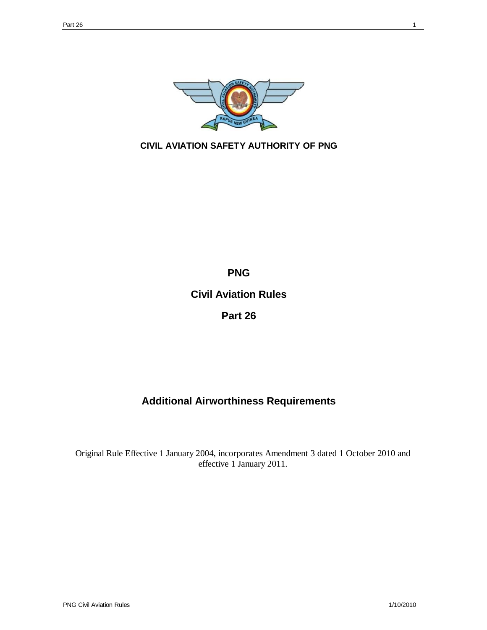

## **CIVIL AVIATION SAFETY AUTHORITY OF PNG**

**PNG Civil Aviation Rules Part 26**

# **Additional Airworthiness Requirements**

Original Rule Effective 1 January 2004, incorporates Amendment 3 dated 1 October 2010 and effective 1 January 2011.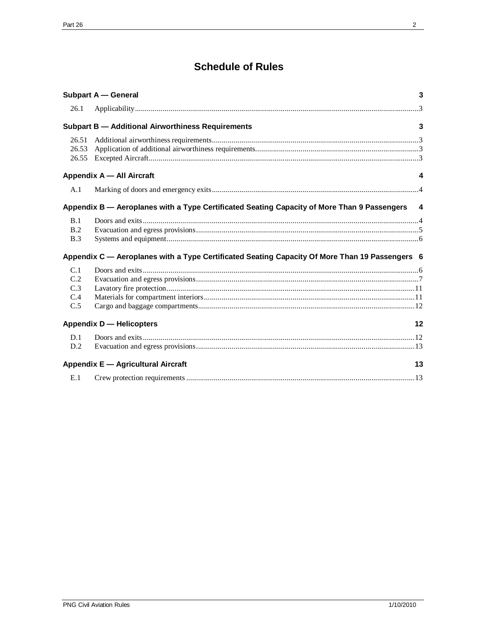# **Schedule of Rules**

|                                                                                                                        | <b>Subpart A - General</b>                                                                     | 3  |
|------------------------------------------------------------------------------------------------------------------------|------------------------------------------------------------------------------------------------|----|
| 26.1                                                                                                                   |                                                                                                |    |
|                                                                                                                        | <b>Subpart B - Additional Airworthiness Requirements</b><br>3                                  |    |
| 26.51<br>26.53<br>26.55                                                                                                |                                                                                                |    |
| Appendix A - All Aircraft<br>4                                                                                         |                                                                                                |    |
| A.1                                                                                                                    |                                                                                                |    |
| Appendix B - Aeroplanes with a Type Certificated Seating Capacity of More Than 9 Passengers<br>$\overline{\mathbf{4}}$ |                                                                                                |    |
| B.1<br>B.2<br>B.3                                                                                                      |                                                                                                |    |
|                                                                                                                        | Appendix C — Aeroplanes with a Type Certificated Seating Capacity Of More Than 19 Passengers 6 |    |
| C.1<br>C.2<br>C.3<br>C.4<br>C.5                                                                                        |                                                                                                |    |
|                                                                                                                        | <b>Appendix D - Helicopters</b>                                                                | 12 |
| D.1<br>D.2                                                                                                             |                                                                                                |    |
| Appendix E - Agricultural Aircraft<br>13                                                                               |                                                                                                |    |
| E.1                                                                                                                    |                                                                                                |    |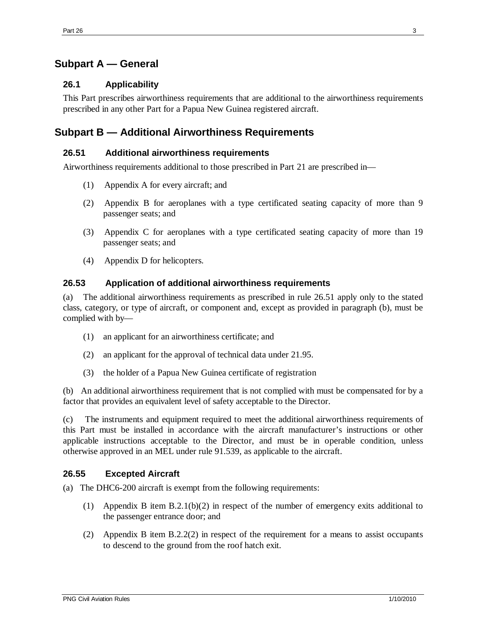## **Subpart A — General**

## **26.1 Applicability**

This Part prescribes airworthiness requirements that are additional to the airworthiness requirements prescribed in any other Part for a Papua New Guinea registered aircraft.

## **Subpart B — Additional Airworthiness Requirements**

#### **26.51 Additional airworthiness requirements**

Airworthiness requirements additional to those prescribed in Part 21 are prescribed in—

- (1) Appendix A for every aircraft; and
- (2) Appendix B for aeroplanes with a type certificated seating capacity of more than 9 passenger seats; and
- (3) Appendix C for aeroplanes with a type certificated seating capacity of more than 19 passenger seats; and
- (4) Appendix D for helicopters.

### **26.53 Application of additional airworthiness requirements**

(a) The additional airworthiness requirements as prescribed in rule 26.51 apply only to the stated class, category, or type of aircraft, or component and, except as provided in paragraph (b), must be complied with by—

- (1) an applicant for an airworthiness certificate; and
- (2) an applicant for the approval of technical data under 21.95.
- (3) the holder of a Papua New Guinea certificate of registration

(b) An additional airworthiness requirement that is not complied with must be compensated for by a factor that provides an equivalent level of safety acceptable to the Director.

(c) The instruments and equipment required to meet the additional airworthiness requirements of this Part must be installed in accordance with the aircraft manufacturer's instructions or other applicable instructions acceptable to the Director, and must be in operable condition, unless otherwise approved in an MEL under rule 91.539, as applicable to the aircraft.

## **26.55 Excepted Aircraft**

(a) The DHC6-200 aircraft is exempt from the following requirements:

- (1) Appendix B item B.2.1(b)(2) in respect of the number of emergency exits additional to the passenger entrance door; and
- (2) Appendix B item B.2.2(2) in respect of the requirement for a means to assist occupants to descend to the ground from the roof hatch exit.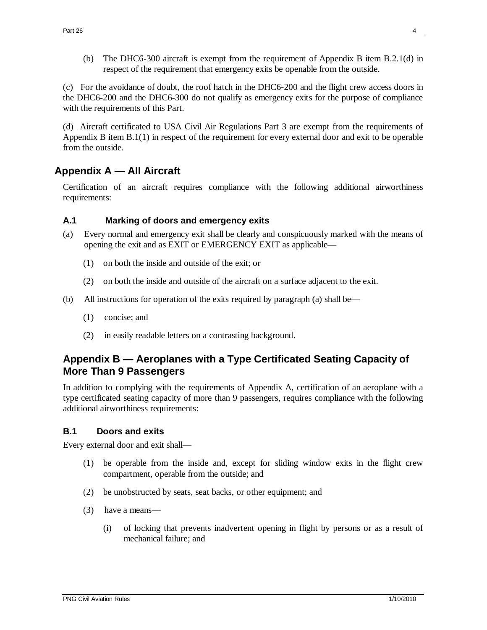(b) The DHC6-300 aircraft is exempt from the requirement of Appendix B item B.2.1(d) in respect of the requirement that emergency exits be openable from the outside.

(c) For the avoidance of doubt, the roof hatch in the DHC6-200 and the flight crew access doors in the DHC6-200 and the DHC6-300 do not qualify as emergency exits for the purpose of compliance with the requirements of this Part.

(d) Aircraft certificated to USA Civil Air Regulations Part 3 are exempt from the requirements of Appendix B item B.1(1) in respect of the requirement for every external door and exit to be operable from the outside.

## **Appendix A — All Aircraft**

Certification of an aircraft requires compliance with the following additional airworthiness requirements:

## **A.1 Marking of doors and emergency exits**

- (a) Every normal and emergency exit shall be clearly and conspicuously marked with the means of opening the exit and as EXIT or EMERGENCY EXIT as applicable—
	- (1) on both the inside and outside of the exit; or
	- (2) on both the inside and outside of the aircraft on a surface adjacent to the exit.
- (b) All instructions for operation of the exits required by paragraph (a) shall be—
	- (1) concise; and
	- (2) in easily readable letters on a contrasting background.

## **Appendix B — Aeroplanes with a Type Certificated Seating Capacity of More Than 9 Passengers**

In addition to complying with the requirements of Appendix A, certification of an aeroplane with a type certificated seating capacity of more than 9 passengers, requires compliance with the following additional airworthiness requirements:

## **B.1 Doors and exits**

Every external door and exit shall—

- (1) be operable from the inside and, except for sliding window exits in the flight crew compartment, operable from the outside; and
- (2) be unobstructed by seats, seat backs, or other equipment; and
- (3) have a means—
	- (i) of locking that prevents inadvertent opening in flight by persons or as a result of mechanical failure; and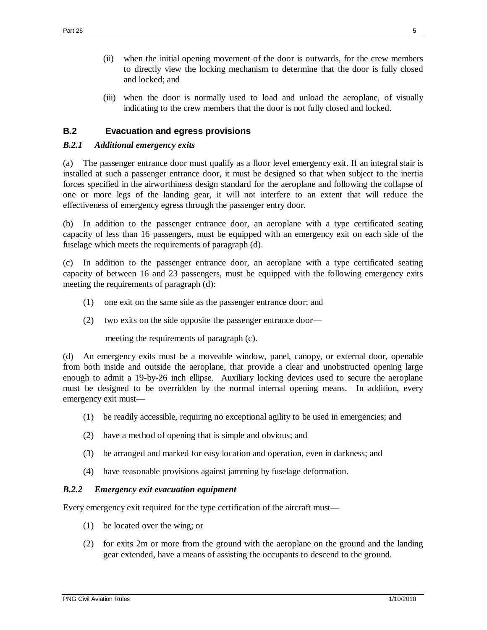- (ii) when the initial opening movement of the door is outwards, for the crew members to directly view the locking mechanism to determine that the door is fully closed and locked; and
- (iii) when the door is normally used to load and unload the aeroplane, of visually indicating to the crew members that the door is not fully closed and locked.

## **B.2 Evacuation and egress provisions**

#### *B.2.1 Additional emergency exits*

(a) The passenger entrance door must qualify as a floor level emergency exit. If an integral stair is installed at such a passenger entrance door, it must be designed so that when subject to the inertia forces specified in the airworthiness design standard for the aeroplane and following the collapse of one or more legs of the landing gear, it will not interfere to an extent that will reduce the effectiveness of emergency egress through the passenger entry door.

(b) In addition to the passenger entrance door, an aeroplane with a type certificated seating capacity of less than 16 passengers, must be equipped with an emergency exit on each side of the fuselage which meets the requirements of paragraph (d).

(c) In addition to the passenger entrance door, an aeroplane with a type certificated seating capacity of between 16 and 23 passengers, must be equipped with the following emergency exits meeting the requirements of paragraph (d):

- (1) one exit on the same side as the passenger entrance door; and
- (2) two exits on the side opposite the passenger entrance door—

meeting the requirements of paragraph (c).

(d) An emergency exits must be a moveable window, panel, canopy, or external door, openable from both inside and outside the aeroplane, that provide a clear and unobstructed opening large enough to admit a 19-by-26 inch ellipse. Auxiliary locking devices used to secure the aeroplane must be designed to be overridden by the normal internal opening means. In addition, every emergency exit must—

- (1) be readily accessible, requiring no exceptional agility to be used in emergencies; and
- (2) have a method of opening that is simple and obvious; and
- (3) be arranged and marked for easy location and operation, even in darkness; and
- (4) have reasonable provisions against jamming by fuselage deformation.

#### *B.2.2 Emergency exit evacuation equipment*

Every emergency exit required for the type certification of the aircraft must—

- (1) be located over the wing; or
- (2) for exits 2m or more from the ground with the aeroplane on the ground and the landing gear extended, have a means of assisting the occupants to descend to the ground.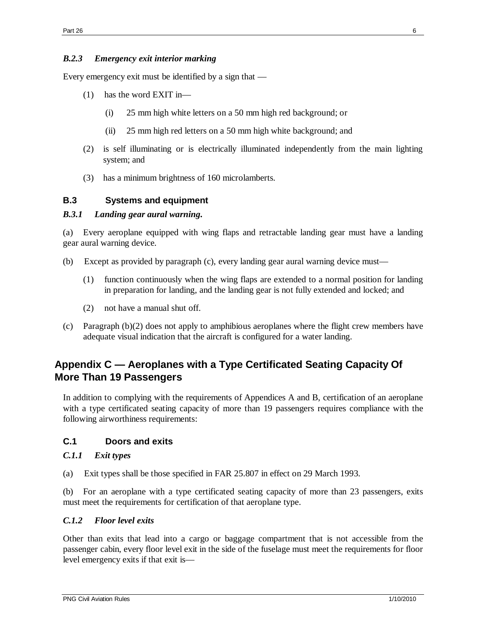### *B.2.3 Emergency exit interior marking*

Every emergency exit must be identified by a sign that —

- (1) has the word EXIT in—
	- (i) 25 mm high white letters on a 50 mm high red background; or
	- (ii) 25 mm high red letters on a 50 mm high white background; and
- (2) is self illuminating or is electrically illuminated independently from the main lighting system; and
- (3) has a minimum brightness of 160 microlamberts.

### **B.3 Systems and equipment**

### *B.3.1 Landing gear aural warning.*

(a) Every aeroplane equipped with wing flaps and retractable landing gear must have a landing gear aural warning device.

- (b) Except as provided by paragraph (c), every landing gear aural warning device must—
	- (1) function continuously when the wing flaps are extended to a normal position for landing in preparation for landing, and the landing gear is not fully extended and locked; and
	- (2) not have a manual shut off.
- (c) Paragraph (b)(2) does not apply to amphibious aeroplanes where the flight crew members have adequate visual indication that the aircraft is configured for a water landing.

## **Appendix C — Aeroplanes with a Type Certificated Seating Capacity Of More Than 19 Passengers**

In addition to complying with the requirements of Appendices A and B, certification of an aeroplane with a type certificated seating capacity of more than 19 passengers requires compliance with the following airworthiness requirements:

## **C.1 Doors and exits**

#### *C.1.1 Exit types*

(a) Exit types shall be those specified in FAR 25.807 in effect on 29 March 1993.

(b) For an aeroplane with a type certificated seating capacity of more than 23 passengers, exits must meet the requirements for certification of that aeroplane type.

#### *C.1.2 Floor level exits*

Other than exits that lead into a cargo or baggage compartment that is not accessible from the passenger cabin, every floor level exit in the side of the fuselage must meet the requirements for floor level emergency exits if that exit is—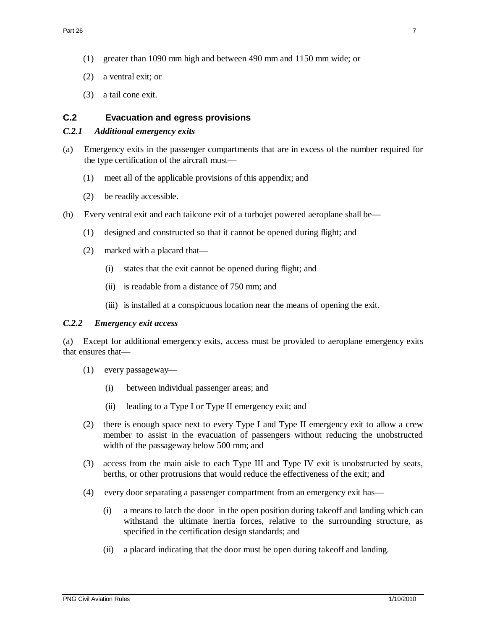- (1) greater than 1090 mm high and between 490 mm and 1150 mm wide; or
- (2) a ventral exit; or
- (3) a tail cone exit.

#### **C.2 Evacuation and egress provisions**

#### *C.2.1 Additional emergency exits*

- (a) Emergency exits in the passenger compartments that are in excess of the number required for the type certification of the aircraft must—
	- (1) meet all of the applicable provisions of this appendix; and
	- (2) be readily accessible.
- (b) Every ventral exit and each tailcone exit of a turbojet powered aeroplane shall be—
	- (1) designed and constructed so that it cannot be opened during flight; and
	- (2) marked with a placard that—
		- (i) states that the exit cannot be opened during flight; and
		- (ii) is readable from a distance of 750 mm; and
		- (iii) is installed at a conspicuous location near the means of opening the exit.

#### *C.2.2 Emergency exit access*

(a) Except for additional emergency exits, access must be provided to aeroplane emergency exits that ensures that—

- (1) every passageway—
	- (i) between individual passenger areas; and
	- (ii) leading to a Type I or Type II emergency exit; and
- (2) there is enough space next to every Type I and Type II emergency exit to allow a crew member to assist in the evacuation of passengers without reducing the unobstructed width of the passageway below 500 mm; and
- (3) access from the main aisle to each Type III and Type IV exit is unobstructed by seats, berths, or other protrusions that would reduce the effectiveness of the exit; and
- (4) every door separating a passenger compartment from an emergency exit has—
	- (i) a means to latch the door in the open position during takeoff and landing which can withstand the ultimate inertia forces, relative to the surrounding structure, as specified in the certification design standards; and
	- (ii) a placard indicating that the door must be open during takeoff and landing.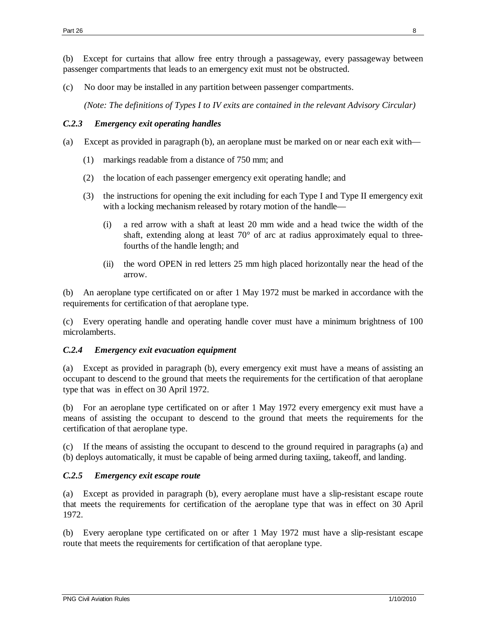(b) Except for curtains that allow free entry through a passageway, every passageway between passenger compartments that leads to an emergency exit must not be obstructed.

(c) No door may be installed in any partition between passenger compartments.

*(Note: The definitions of Types I to IV exits are contained in the relevant Advisory Circular)*

#### *C.2.3 Emergency exit operating handles*

- (a) Except as provided in paragraph (b), an aeroplane must be marked on or near each exit with—
	- (1) markings readable from a distance of 750 mm; and
	- (2) the location of each passenger emergency exit operating handle; and
	- (3) the instructions for opening the exit including for each Type I and Type II emergency exit with a locking mechanism released by rotary motion of the handle—
		- (i) a red arrow with a shaft at least 20 mm wide and a head twice the width of the shaft, extending along at least 70° of arc at radius approximately equal to threefourths of the handle length; and
		- (ii) the word OPEN in red letters 25 mm high placed horizontally near the head of the arrow.

(b) An aeroplane type certificated on or after 1 May 1972 must be marked in accordance with the requirements for certification of that aeroplane type.

(c) Every operating handle and operating handle cover must have a minimum brightness of 100 microlamberts.

#### *C.2.4 Emergency exit evacuation equipment*

(a) Except as provided in paragraph (b), every emergency exit must have a means of assisting an occupant to descend to the ground that meets the requirements for the certification of that aeroplane type that was in effect on 30 April 1972.

(b) For an aeroplane type certificated on or after 1 May 1972 every emergency exit must have a means of assisting the occupant to descend to the ground that meets the requirements for the certification of that aeroplane type.

(c) If the means of assisting the occupant to descend to the ground required in paragraphs (a) and (b) deploys automatically, it must be capable of being armed during taxiing, takeoff, and landing.

#### *C.2.5 Emergency exit escape route*

(a) Except as provided in paragraph (b), every aeroplane must have a slip-resistant escape route that meets the requirements for certification of the aeroplane type that was in effect on 30 April 1972.

(b) Every aeroplane type certificated on or after 1 May 1972 must have a slip-resistant escape route that meets the requirements for certification of that aeroplane type.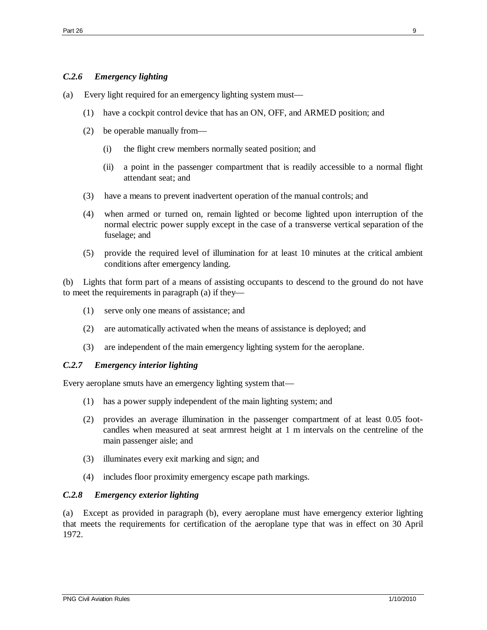## *C.2.6 Emergency lighting*

- (a) Every light required for an emergency lighting system must—
	- (1) have a cockpit control device that has an ON, OFF, and ARMED position; and
	- (2) be operable manually from—
		- (i) the flight crew members normally seated position; and
		- (ii) a point in the passenger compartment that is readily accessible to a normal flight attendant seat; and
	- (3) have a means to prevent inadvertent operation of the manual controls; and
	- (4) when armed or turned on, remain lighted or become lighted upon interruption of the normal electric power supply except in the case of a transverse vertical separation of the fuselage; and
	- (5) provide the required level of illumination for at least 10 minutes at the critical ambient conditions after emergency landing.

(b) Lights that form part of a means of assisting occupants to descend to the ground do not have to meet the requirements in paragraph (a) if they—

- (1) serve only one means of assistance; and
- (2) are automatically activated when the means of assistance is deployed; and
- (3) are independent of the main emergency lighting system for the aeroplane.

#### *C.2.7 Emergency interior lighting*

Every aeroplane smuts have an emergency lighting system that—

- (1) has a power supply independent of the main lighting system; and
- (2) provides an average illumination in the passenger compartment of at least 0.05 footcandles when measured at seat armrest height at 1 m intervals on the centreline of the main passenger aisle; and
- (3) illuminates every exit marking and sign; and
- (4) includes floor proximity emergency escape path markings.

#### *C.2.8 Emergency exterior lighting*

(a) Except as provided in paragraph (b), every aeroplane must have emergency exterior lighting that meets the requirements for certification of the aeroplane type that was in effect on 30 April 1972.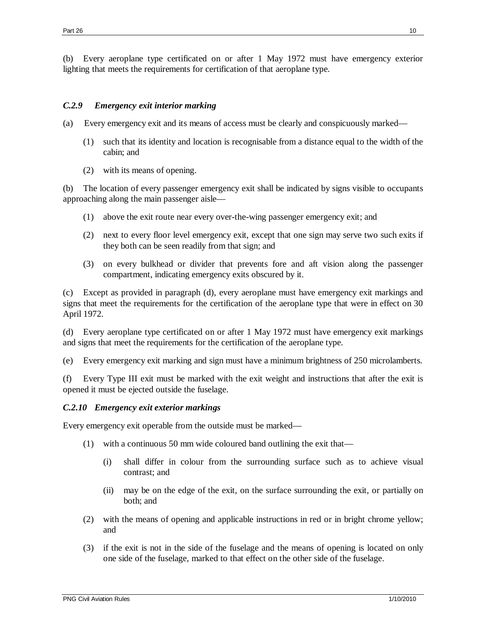(b) Every aeroplane type certificated on or after 1 May 1972 must have emergency exterior lighting that meets the requirements for certification of that aeroplane type.

### *C.2.9 Emergency exit interior marking*

- (a) Every emergency exit and its means of access must be clearly and conspicuously marked—
	- (1) such that its identity and location is recognisable from a distance equal to the width of the cabin; and
	- (2) with its means of opening.

(b) The location of every passenger emergency exit shall be indicated by signs visible to occupants approaching along the main passenger aisle—

- (1) above the exit route near every over-the-wing passenger emergency exit; and
- (2) next to every floor level emergency exit, except that one sign may serve two such exits if they both can be seen readily from that sign; and
- (3) on every bulkhead or divider that prevents fore and aft vision along the passenger compartment, indicating emergency exits obscured by it.

(c) Except as provided in paragraph (d), every aeroplane must have emergency exit markings and signs that meet the requirements for the certification of the aeroplane type that were in effect on 30 April 1972.

(d) Every aeroplane type certificated on or after 1 May 1972 must have emergency exit markings and signs that meet the requirements for the certification of the aeroplane type.

(e) Every emergency exit marking and sign must have a minimum brightness of 250 microlamberts.

(f) Every Type III exit must be marked with the exit weight and instructions that after the exit is opened it must be ejected outside the fuselage.

## *C.2.10 Emergency exit exterior markings*

Every emergency exit operable from the outside must be marked—

- (1) with a continuous 50 mm wide coloured band outlining the exit that—
	- (i) shall differ in colour from the surrounding surface such as to achieve visual contrast; and
	- (ii) may be on the edge of the exit, on the surface surrounding the exit, or partially on both; and
- (2) with the means of opening and applicable instructions in red or in bright chrome yellow; and
- (3) if the exit is not in the side of the fuselage and the means of opening is located on only one side of the fuselage, marked to that effect on the other side of the fuselage.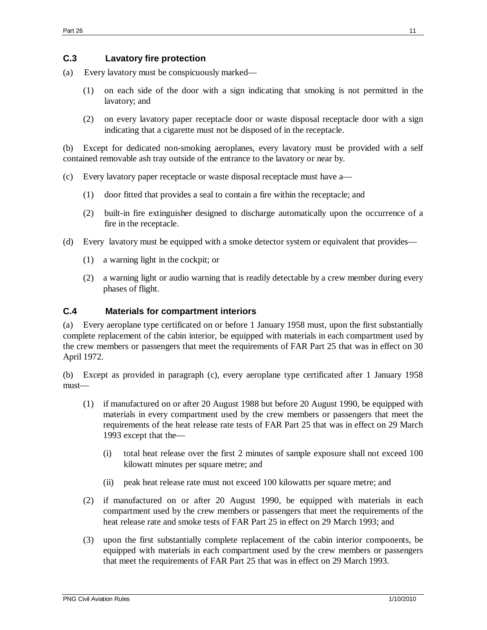### **C.3 Lavatory fire protection**

- (a) Every lavatory must be conspicuously marked—
	- (1) on each side of the door with a sign indicating that smoking is not permitted in the lavatory; and
	- (2) on every lavatory paper receptacle door or waste disposal receptacle door with a sign indicating that a cigarette must not be disposed of in the receptacle.

(b) Except for dedicated non-smoking aeroplanes, every lavatory must be provided with a self contained removable ash tray outside of the entrance to the lavatory or near by.

- (c) Every lavatory paper receptacle or waste disposal receptacle must have a—
	- (1) door fitted that provides a seal to contain a fire within the receptacle; and
	- (2) built-in fire extinguisher designed to discharge automatically upon the occurrence of a fire in the receptacle.
- (d) Every lavatory must be equipped with a smoke detector system or equivalent that provides—
	- (1) a warning light in the cockpit; or
	- (2) a warning light or audio warning that is readily detectable by a crew member during every phases of flight.

## **C.4 Materials for compartment interiors**

(a) Every aeroplane type certificated on or before 1 January 1958 must, upon the first substantially complete replacement of the cabin interior, be equipped with materials in each compartment used by the crew members or passengers that meet the requirements of FAR Part 25 that was in effect on 30 April 1972.

(b) Except as provided in paragraph (c), every aeroplane type certificated after 1 January 1958 must—

- (1) if manufactured on or after 20 August 1988 but before 20 August 1990, be equipped with materials in every compartment used by the crew members or passengers that meet the requirements of the heat release rate tests of FAR Part 25 that was in effect on 29 March 1993 except that the—
	- (i) total heat release over the first 2 minutes of sample exposure shall not exceed 100 kilowatt minutes per square metre; and
	- (ii) peak heat release rate must not exceed 100 kilowatts per square metre; and
- (2) if manufactured on or after 20 August 1990, be equipped with materials in each compartment used by the crew members or passengers that meet the requirements of the heat release rate and smoke tests of FAR Part 25 in effect on 29 March 1993; and
- (3) upon the first substantially complete replacement of the cabin interior components, be equipped with materials in each compartment used by the crew members or passengers that meet the requirements of FAR Part 25 that was in effect on 29 March 1993.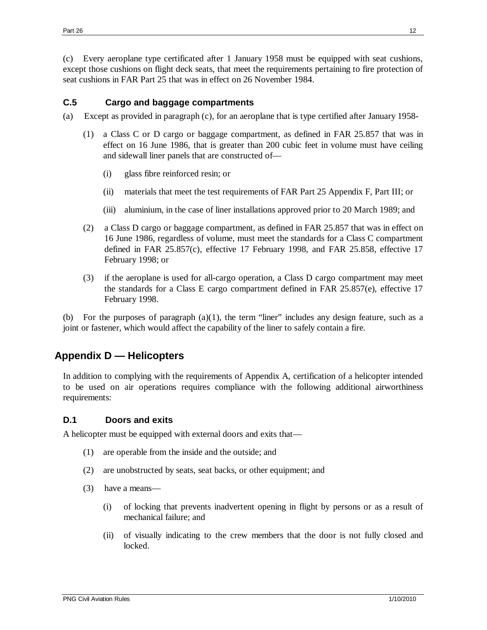(c) Every aeroplane type certificated after 1 January 1958 must be equipped with seat cushions, except those cushions on flight deck seats, that meet the requirements pertaining to fire protection of seat cushions in FAR Part 25 that was in effect on 26 November 1984.

### **C.5 Cargo and baggage compartments**

- (a) Except as provided in paragraph (c), for an aeroplane that is type certified after January 1958-
	- (1) a Class C or D cargo or baggage compartment, as defined in FAR 25.857 that was in effect on 16 June 1986, that is greater than 200 cubic feet in volume must have ceiling and sidewall liner panels that are constructed of—
		- (i) glass fibre reinforced resin; or
		- (ii) materials that meet the test requirements of FAR Part 25 Appendix F, Part III; or
		- (iii) aluminium, in the case of liner installations approved prior to 20 March 1989; and
	- (2) a Class D cargo or baggage compartment, as defined in FAR 25.857 that was in effect on 16 June 1986, regardless of volume, must meet the standards for a Class C compartment defined in FAR 25.857(c), effective 17 February 1998, and FAR 25.858, effective 17 February 1998; or
	- (3) if the aeroplane is used for all-cargo operation, a Class D cargo compartment may meet the standards for a Class E cargo compartment defined in FAR 25.857(e), effective 17 February 1998.

(b) For the purposes of paragraph  $(a)(1)$ , the term "liner" includes any design feature, such as a joint or fastener, which would affect the capability of the liner to safely contain a fire.

## **Appendix D — Helicopters**

In addition to complying with the requirements of Appendix A, certification of a helicopter intended to be used on air operations requires compliance with the following additional airworthiness requirements:

## **D.1 Doors and exits**

A helicopter must be equipped with external doors and exits that—

- (1) are operable from the inside and the outside; and
- (2) are unobstructed by seats, seat backs, or other equipment; and
- (3) have a means—
	- (i) of locking that prevents inadvertent opening in flight by persons or as a result of mechanical failure; and
	- (ii) of visually indicating to the crew members that the door is not fully closed and locked.